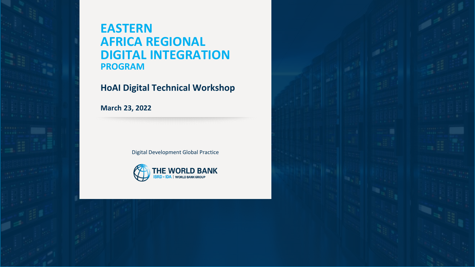

# **EASTERN AFRICA REGIONAL DIGITAL INTEGRATION PROGRAM**

#### **HoAI Digital Technical Workshop**

**March 23, 2022** 

Digital Development Global Practice



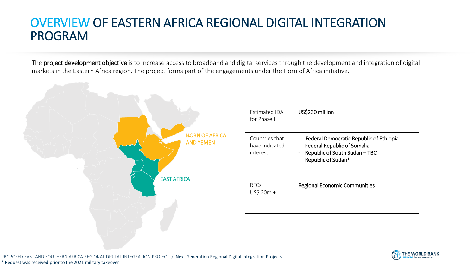# OVERVIEW OF EASTERN AFRICA REGIONAL DIGITAL INTEGRATION PROGRAM

The project development objective is to increase access to broadband and digital services through the development and integration of digital markets in the Eastern Africa region. The project forms part of the engagements under the Horn of Africa initiative.



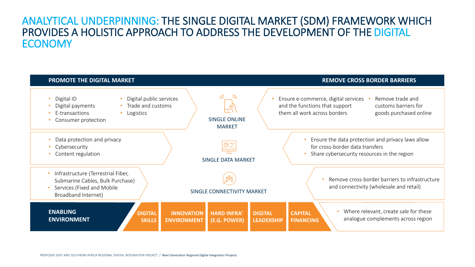#### ANALYTICAL UNDERPINNING: THE SINGLE DIGITAL MARKET (SDM) FRAMEWORK WHICH PROVIDES A HOLISTIC APPROACH TO ADDRESS THE DEVELOPMENT OF THE DIGITAL **ECONOMY**

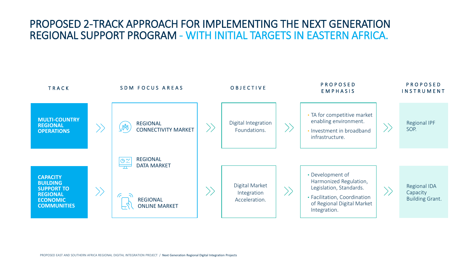#### PROPOSED 2-TRACK APPROACH FOR IMPLEMENTING THE NEXT GENERATION REGIONAL SUPPORT PROGRAM - WITH INITIAL TARGETS IN EASTERN AFRICA.

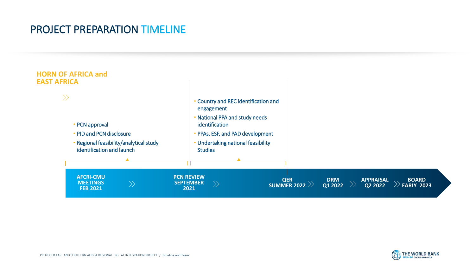## PROJECT PREPARATION TIMELINE



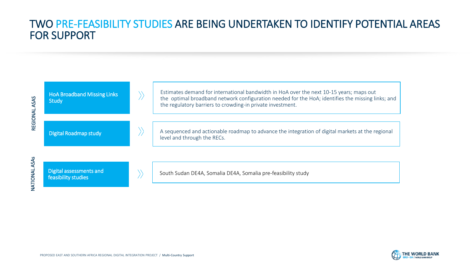### TWO PRE-FEASIBILITY STUDIES ARE BEING UNDERTAKEN TO IDENTIFY POTENTIAL AREAS FOR SUPPORT

| REGIONAL ASAS           | <b>HoA Broadband Missing Links</b><br><b>Study</b> | Estimates demand for international bandwidth in HoA over the next 10-15 years; maps out<br>the optimal broadband network configuration needed for the HoA; identifies the missing links; and<br>the regulatory barriers to crowding-in private investment. |  |  |  |  |
|-------------------------|----------------------------------------------------|------------------------------------------------------------------------------------------------------------------------------------------------------------------------------------------------------------------------------------------------------------|--|--|--|--|
|                         |                                                    |                                                                                                                                                                                                                                                            |  |  |  |  |
|                         | <b>Digital Roadmap study</b>                       | A sequenced and actionable roadmap to advance the integration of digital markets at the regional<br>level and through the RECs.                                                                                                                            |  |  |  |  |
|                         |                                                    |                                                                                                                                                                                                                                                            |  |  |  |  |
| ASAs<br><b>VATIONAL</b> | Digital assessments and<br>feasibility studies     | South Sudan DE4A, Somalia DE4A, Somalia pre-feasibility study                                                                                                                                                                                              |  |  |  |  |
|                         |                                                    |                                                                                                                                                                                                                                                            |  |  |  |  |

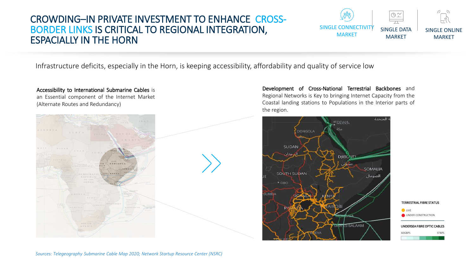#### CROWDING–IN PRIVATE INVESTMENT TO ENHANCE CROSS-BORDER LINKS IS CRITICAL TO REGIONAL INTEGRATION, ESPACIALLY IN THE HORN

 $\bigoplus_{i\in I} \bigwedge_{i\in I}$ SINGLE CONNECTIVIT SINGLE DATA SINGLE ONLINE MARKET MARKET MARKET

Infrastructure deficits, especially in the Horn, is keeping accessibility, affordability and quality of service low



Accessibility to International Submarine Cables is

Development of Cross-National Terrestrial Backbones and Regional Networks is Key to bringing Internet Capacity from the Coastal landing stations to Populations in the Interior parts of the region.

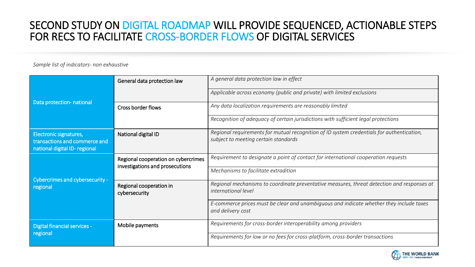### SECOND STUDY ON DIGITAL ROADMAP WILL PROVIDE SEQUENCED, ACTIONABLE STEPS FOR RECS TO FACILITATE CROSS-BORDER FLOWS OF DIGITAL SERVICES

#### *Sample list of indicators- non exhaustive*

|                                                                                         | General data protection law                                            | A general data protection law in effect                                                                                           |  |  |  |  |
|-----------------------------------------------------------------------------------------|------------------------------------------------------------------------|-----------------------------------------------------------------------------------------------------------------------------------|--|--|--|--|
|                                                                                         |                                                                        | Applicable across economy (public and private) with limited exclusions                                                            |  |  |  |  |
| Data protection- national                                                               | <b>Cross border flows</b>                                              | Any data localization requirements are reasonably limited                                                                         |  |  |  |  |
|                                                                                         |                                                                        | Recognition of adequacy of certain jurisdictions with sufficient legal protections                                                |  |  |  |  |
| Electronic signatures,<br>transactions and commerce and<br>national digital ID-regional | National digital ID                                                    | Regional requirements for mutual recognition of ID system credentials for authentication,<br>subject to meeting certain standards |  |  |  |  |
|                                                                                         | Regional cooperation on cybercrimes<br>investigations and prosecutions | Requirement to designate a point of contact for international cooperation requests                                                |  |  |  |  |
|                                                                                         |                                                                        | Mechanisms to facilitate extradition                                                                                              |  |  |  |  |
| Cybercrimes and cybersecurity -<br>regional                                             | Regional cooperation in<br>cybersecurity                               | Regional mechanisms to coordinate preventative measures, threat detection and responses at<br><i>international level</i>          |  |  |  |  |
|                                                                                         |                                                                        | E-commerce prices must be clear and unambiguous and indicate whether they include taxes<br>and delivery cost                      |  |  |  |  |
| <b>Digital financial services -</b>                                                     | Mobile payments                                                        | Requirements for cross-border interoperability among providers                                                                    |  |  |  |  |
| regional                                                                                |                                                                        | Requirements for low or no fees for cross-platform, cross-border transactions                                                     |  |  |  |  |

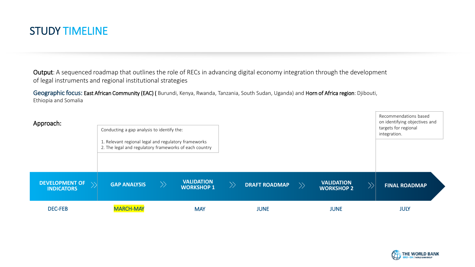

Output: A sequenced roadmap that outlines the role of RECs in advancing digital economy integration through the development of legal instruments and regional institutional strategies

Geographic focus: East African Community (EAC) (Burundi, Kenya, Rwanda, Tanzania, South Sudan, Uganda) and Horn of Africa region: Djibouti, Ethiopia and Somalia



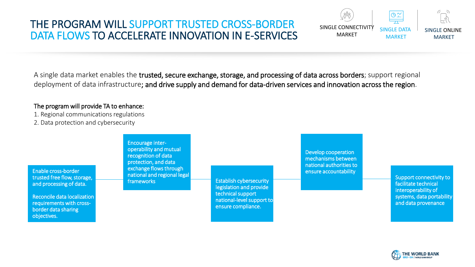#### THE PROGRAM WILL SUPPORT TRUSTED CROSS-BORDER DATA FLOWS TO ACCELERATE INNOVATION IN E-SERVICES

A single data market enables the trusted, secure exchange, storage, and processing of data across borders; support regional deployment of data infrastructure; and drive supply and demand for data-driven services and innovation across the region.

#### The program will provide TA to enhance:

1. Regional communications regulations 2. Data protection and cybersecurity

Enable cross-border trusted free flow, storage, and processing of data.

Reconcile data localization requirements with crossborder data sharing objectives.

Encourage interoperability and mutual recognition of data protection, and data exchange flows through national and regional legal

Establish cybersecurity legislation and provide technical support national-level support to ensure compliance.

Develop cooperation mechanisms between national authorities to ensure accountability

SINGLE CONNECTIVITY MARKET

> Support connectivity to facilitate technical interoperability of systems, data portability and data provenance

SINGLE ONLINE MARKET

 $6 - 7$ 

SINGLE DATA MARKET

 $\Theta$   $\approx$ 

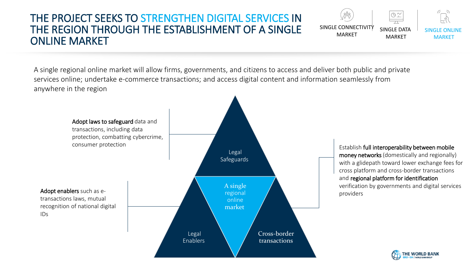#### THE PROJECT SEEKS TO STRENGTHEN DIGITAL SERVICES IN THE REGION THROUGH THE ESTABLISHMENT OF A SINGLE ONLINE MARKET



A single regional online market will allow firms, governments, and citizens to access and deliver both public and private services online; undertake e-commerce transactions; and access digital content and information seamlessly from anywhere in the region

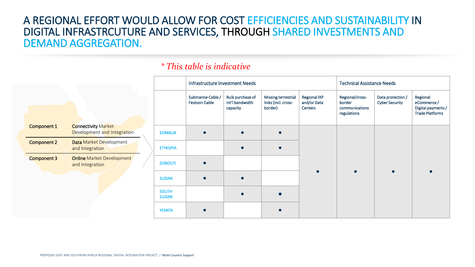#### A REGIONAL EFFORT WOULD ALLOW FOR COST EFFICIENCIES AND SUSTAINABILITY IN DIGITAL INFRASTRCUTURE AND SERVICES, THROUGH SHARED INVESTMENTS AND DEMAND AGGREGATION.

|                    |                                                     |                              | THIT AS LIQUOLUME THY ESTENDATION IN EEGS |                                                        |                                                       |                                               | Technical Assistance Needs                                 |                                            |                                                                        |
|--------------------|-----------------------------------------------------|------------------------------|-------------------------------------------|--------------------------------------------------------|-------------------------------------------------------|-----------------------------------------------|------------------------------------------------------------|--------------------------------------------|------------------------------------------------------------------------|
|                    |                                                     |                              | Submarine Cable /<br><b>Festoon Cable</b> | <b>Bulk purchase of</b><br>int'l bandwidth<br>capacity | Missing terrestrial<br>links (incl. cross-<br>border) | <b>Regional IXP</b><br>and/or Data<br>Centers | Regional/cross-<br>border<br>communications<br>regulations | Data protection /<br><b>Cyber Security</b> | Regional<br>eCommerce/<br>Digital payments /<br><b>Trade Platforms</b> |
| Component 1        | <b>Connectivity Market</b>                          |                              |                                           |                                                        |                                                       |                                               |                                                            |                                            |                                                                        |
|                    | Development and Integration                         | <b>SOMALIA</b>               |                                           |                                                        |                                                       |                                               |                                                            |                                            |                                                                        |
| Component 2        | Data Market Development<br>and Integration          | <b>ETHIOPIA</b>              |                                           |                                                        |                                                       |                                               |                                                            |                                            |                                                                        |
| <b>Component 3</b> | <b>Online Market Development</b><br>and Integration | <b>DJIBOUTI</b>              | $\bullet$                                 |                                                        |                                                       |                                               |                                                            |                                            |                                                                        |
|                    |                                                     | <b>SUDAN</b>                 |                                           |                                                        |                                                       |                                               |                                                            |                                            |                                                                        |
|                    |                                                     | <b>SOUTH</b><br><b>SUDAN</b> |                                           |                                                        |                                                       |                                               |                                                            |                                            |                                                                        |
|                    |                                                     | <b>YEMEN</b>                 |                                           |                                                        |                                                       |                                               |                                                            |                                            |                                                                        |

Infrastructure Investment Needs Technical Assistance Needs

#### *\* This table is indicative*